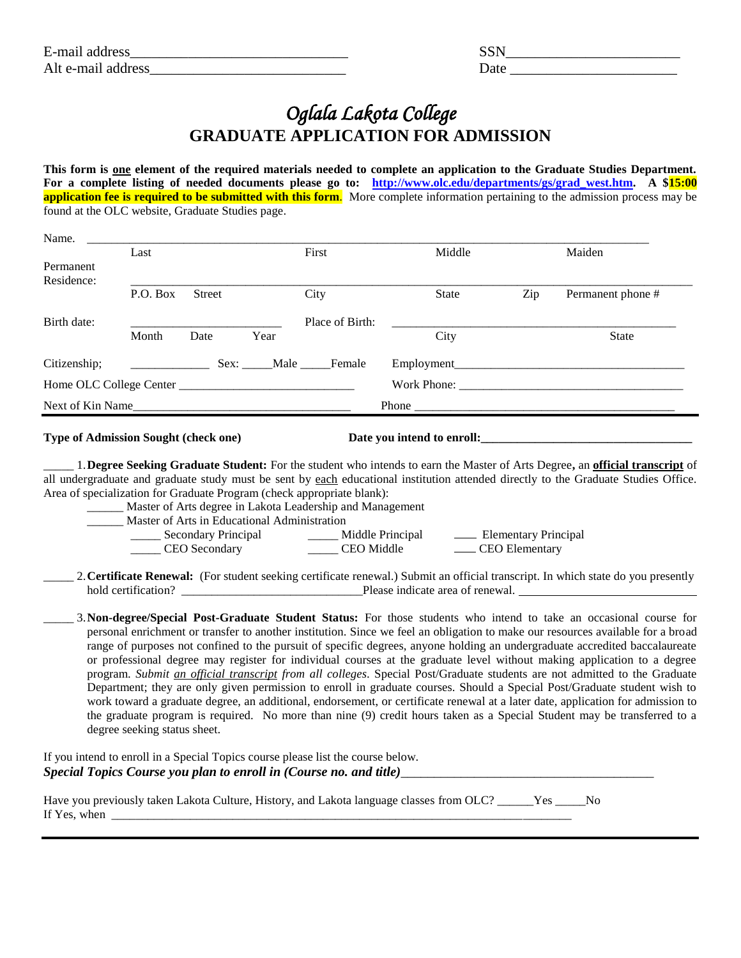| E-mail address     |  |
|--------------------|--|
| Alt e-mail address |  |

| E-mail<br>address     |  |
|-----------------------|--|
| Alt e-mail<br>address |  |

## *Oglala Lakota College*  **GRADUATE APPLICATION FOR ADMISSION**

**This form is one element of the required materials needed to complete an application to the Graduate Studies Department. For a complete listing of needed documents please go to: [http://www.olc.edu/departments/gs/grad\\_west.htm.](http://www.olc.edu/departments/gs/grad_west.htm) A \$15:00 application fee is required to be submitted with this form.** More complete information pertaining to the admission process may be found at the OLC website, Graduate Studies page.

| Last             |               |      | First           | Middle             |                                                                           | Maiden            |
|------------------|---------------|------|-----------------|--------------------|---------------------------------------------------------------------------|-------------------|
|                  |               |      |                 |                    |                                                                           |                   |
|                  |               |      |                 |                    |                                                                           |                   |
| P.O. Box         | <b>Street</b> |      | City            | <b>State</b>       | Zip                                                                       | Permanent phone # |
|                  |               |      | Place of Birth: |                    |                                                                           |                   |
| Month            | Date          | Year |                 | City               |                                                                           | <b>State</b>      |
|                  |               |      |                 | Employment_        |                                                                           |                   |
|                  |               |      |                 | Work Phone: ______ |                                                                           |                   |
| Next of Kin Name |               |      |                 |                    |                                                                           |                   |
|                  |               |      |                 | Sex: Male Female   | Phone $\frac{1}{\sqrt{1-\frac{1}{2}}\cdot\frac{1}{\sqrt{1-\frac{1}{2}}}}$ |                   |

## **Type of Admission Sought (check one) Date you intend to enroll:\_\_\_\_\_\_\_\_\_\_\_\_\_\_\_\_**

\_\_\_\_\_ 1.**Degree Seeking Graduate Student:** For the student who intends to earn the Master of Arts Degree**,** an **official transcript** of all undergraduate and graduate study must be sent by each educational institution attended directly to the Graduate Studies Office. Area of specialization for Graduate Program (check appropriate blank):

| Master of Arts degree in Lakota Leadership and Management |                  |                      |  |  |
|-----------------------------------------------------------|------------------|----------------------|--|--|
| Master of Arts in Educational Administration              |                  |                      |  |  |
| Secondary Principal                                       | Middle Principal | Elementary Principal |  |  |
| <b>CEO</b> Secondary                                      | CEO Middle       | CEO Elementary       |  |  |

\_\_\_\_\_ 2.**Certificate Renewal:** (For student seeking certificate renewal.) Submit an official transcript. In which state do you presently hold certification? \_\_\_\_\_\_\_\_\_\_\_\_\_\_\_\_\_\_\_\_\_\_\_\_\_\_\_\_\_\_Please indicate area of renewal.

\_\_\_\_\_ 3.**Non-degree/Special Post-Graduate Student Status:** For those students who intend to take an occasional course for personal enrichment or transfer to another institution. Since we feel an obligation to make our resources available for a broad range of purposes not confined to the pursuit of specific degrees, anyone holding an undergraduate accredited baccalaureate or professional degree may register for individual courses at the graduate level without making application to a degree program. *Submit an official transcript from all colleges*. Special Post/Graduate students are not admitted to the Graduate Department; they are only given permission to enroll in graduate courses. Should a Special Post/Graduate student wish to work toward a graduate degree, an additional, endorsement, or certificate renewal at a later date, application for admission to the graduate program is required. No more than nine (9) credit hours taken as a Special Student may be transferred to a degree seeking status sheet.

If you intend to enroll in a Special Topics course please list the course below. *Special Topics Course you plan to enroll in (Course no. and title)\_\_\_\_\_\_\_\_\_\_\_\_\_\_\_\_\_\_\_\_\_\_\_\_\_\_\_\_\_\_\_\_\_\_\_\_\_\_*

|              | Have you previously taken Lakota Culture, History, and Lakota language classes from OLC? | - No |
|--------------|------------------------------------------------------------------------------------------|------|
| If Yes, when |                                                                                          |      |